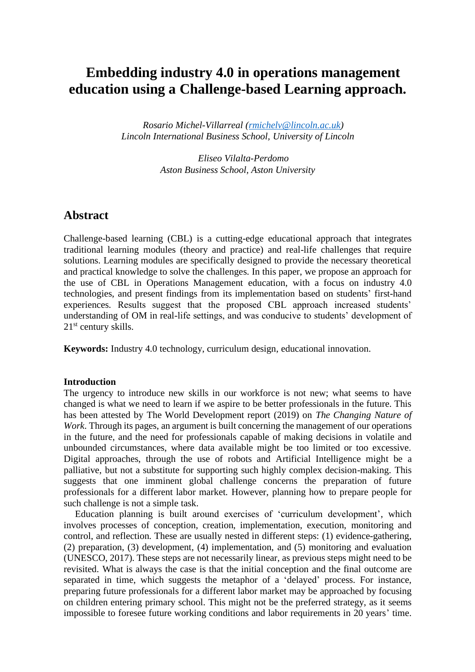# **Embedding industry 4.0 in operations management education using a Challenge-based Learning approach.**

*Rosario Michel-Villarreal [\(rmichelv@lincoln.ac.uk\)](mailto:rmichelv@lincoln.ac.uk) Lincoln International Business School, University of Lincoln*

> *Eliseo Vilalta-Perdomo Aston Business School, Aston University*

# **Abstract**

Challenge-based learning (CBL) is a cutting-edge educational approach that integrates traditional learning modules (theory and practice) and real-life challenges that require solutions. Learning modules are specifically designed to provide the necessary theoretical and practical knowledge to solve the challenges. In this paper, we propose an approach for the use of CBL in Operations Management education, with a focus on industry 4.0 technologies, and present findings from its implementation based on students' first-hand experiences. Results suggest that the proposed CBL approach increased students' understanding of OM in real-life settings, and was conducive to students' development of 21<sup>st</sup> century skills.

**Keywords:** Industry 4.0 technology, curriculum design, educational innovation.

# **Introduction**

The urgency to introduce new skills in our workforce is not new; what seems to have changed is what we need to learn if we aspire to be better professionals in the future. This has been attested by The World Development report (2019) on *The Changing Nature of Work*. Through its pages, an argument is built concerning the management of our operations in the future, and the need for professionals capable of making decisions in volatile and unbounded circumstances, where data available might be too limited or too excessive. Digital approaches, through the use of robots and Artificial Intelligence might be a palliative, but not a substitute for supporting such highly complex decision-making. This suggests that one imminent global challenge concerns the preparation of future professionals for a different labor market. However, planning how to prepare people for such challenge is not a simple task.

Education planning is built around exercises of 'curriculum development', which involves processes of conception, creation, implementation, execution, monitoring and control, and reflection. These are usually nested in different steps: (1) evidence-gathering, (2) preparation, (3) development, (4) implementation, and (5) monitoring and evaluation (UNESCO, 2017). These steps are not necessarily linear, as previous steps might need to be revisited. What is always the case is that the initial conception and the final outcome are separated in time, which suggests the metaphor of a 'delayed' process. For instance, preparing future professionals for a different labor market may be approached by focusing on children entering primary school. This might not be the preferred strategy, as it seems impossible to foresee future working conditions and labor requirements in 20 years' time.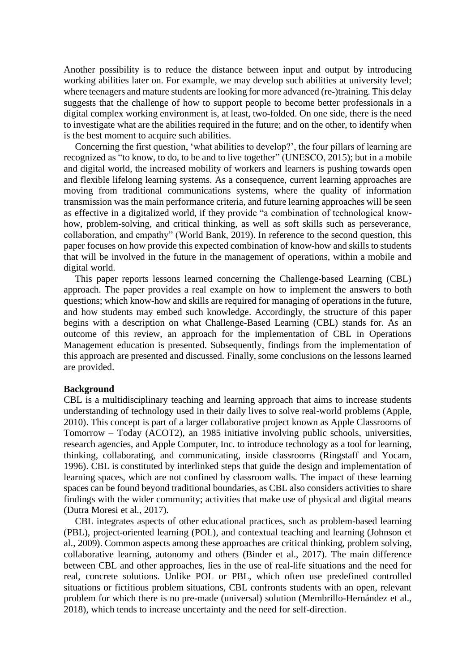Another possibility is to reduce the distance between input and output by introducing working abilities later on. For example, we may develop such abilities at university level; where teenagers and mature students are looking for more advanced (re-)training. This delay suggests that the challenge of how to support people to become better professionals in a digital complex working environment is, at least, two-folded. On one side, there is the need to investigate what are the abilities required in the future; and on the other, to identify when is the best moment to acquire such abilities.

Concerning the first question, 'what abilities to develop?', the four pillars of learning are recognized as "to know, to do, to be and to live together" (UNESCO, 2015); but in a mobile and digital world, the increased mobility of workers and learners is pushing towards open and flexible lifelong learning systems. As a consequence, current learning approaches are moving from traditional communications systems, where the quality of information transmission was the main performance criteria, and future learning approaches will be seen as effective in a digitalized world, if they provide "a combination of technological knowhow, problem-solving, and critical thinking, as well as soft skills such as perseverance, collaboration, and empathy" (World Bank, 2019). In reference to the second question, this paper focuses on how provide this expected combination of know-how and skills to students that will be involved in the future in the management of operations, within a mobile and digital world.

This paper reports lessons learned concerning the Challenge-based Learning (CBL) approach. The paper provides a real example on how to implement the answers to both questions; which know-how and skills are required for managing of operations in the future, and how students may embed such knowledge. Accordingly, the structure of this paper begins with a description on what Challenge-Based Learning (CBL) stands for. As an outcome of this review, an approach for the implementation of CBL in Operations Management education is presented. Subsequently, findings from the implementation of this approach are presented and discussed. Finally, some conclusions on the lessons learned are provided.

### **Background**

CBL is a multidisciplinary teaching and learning approach that aims to increase students understanding of technology used in their daily lives to solve real-world problems (Apple, 2010). This concept is part of a larger collaborative project known as Apple Classrooms of Tomorrow – Today (ACOT2), an 1985 initiative involving public schools, universities, research agencies, and Apple Computer, Inc. to introduce technology as a tool for learning, thinking, collaborating, and communicating, inside classrooms (Ringstaff and Yocam, 1996). CBL is constituted by interlinked steps that guide the design and implementation of learning spaces, which are not confined by classroom walls. The impact of these learning spaces can be found beyond traditional boundaries, as CBL also considers activities to share findings with the wider community; activities that make use of physical and digital means (Dutra Moresi et al., 2017).

CBL integrates aspects of other educational practices, such as problem-based learning (PBL), project-oriented learning (POL), and contextual teaching and learning (Johnson et al., 2009). Common aspects among these approaches are critical thinking, problem solving, collaborative learning, autonomy and others (Binder et al., 2017). The main difference between CBL and other approaches, lies in the use of real-life situations and the need for real, concrete solutions. Unlike POL or PBL, which often use predefined controlled situations or fictitious problem situations, CBL confronts students with an open, relevant problem for which there is no pre-made (universal) solution (Membrillo-Hernández et al., 2018), which tends to increase uncertainty and the need for self-direction.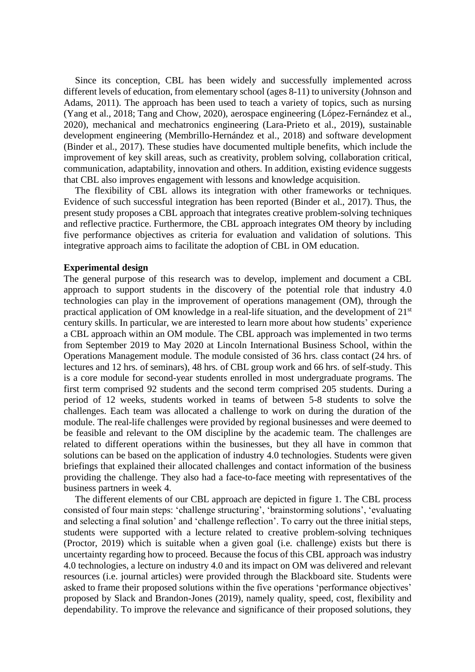Since its conception, CBL has been widely and successfully implemented across different levels of education, from elementary school (ages 8-11) to university (Johnson and Adams, 2011). The approach has been used to teach a variety of topics, such as nursing (Yang et al., 2018; Tang and Chow, 2020), aerospace engineering (López-Fernández et al., 2020), mechanical and mechatronics engineering (Lara-Prieto et al., 2019), sustainable development engineering (Membrillo-Hernández et al., 2018) and software development (Binder et al., 2017). These studies have documented multiple benefits, which include the improvement of key skill areas, such as creativity, problem solving, collaboration critical, communication, adaptability, innovation and others. In addition, existing evidence suggests that CBL also improves engagement with lessons and knowledge acquisition.

The flexibility of CBL allows its integration with other frameworks or techniques. Evidence of such successful integration has been reported (Binder et al., 2017). Thus, the present study proposes a CBL approach that integrates creative problem-solving techniques and reflective practice. Furthermore, the CBL approach integrates OM theory by including five performance objectives as criteria for evaluation and validation of solutions. This integrative approach aims to facilitate the adoption of CBL in OM education.

## **Experimental design**

The general purpose of this research was to develop, implement and document a CBL approach to support students in the discovery of the potential role that industry 4.0 technologies can play in the improvement of operations management (OM), through the practical application of OM knowledge in a real-life situation, and the development of 21st century skills. In particular, we are interested to learn more about how students' experience a CBL approach within an OM module. The CBL approach was implemented in two terms from September 2019 to May 2020 at Lincoln International Business School, within the Operations Management module. The module consisted of 36 hrs. class contact (24 hrs. of lectures and 12 hrs. of seminars), 48 hrs. of CBL group work and 66 hrs. of self-study. This is a core module for second-year students enrolled in most undergraduate programs. The first term comprised 92 students and the second term comprised 205 students. During a period of 12 weeks, students worked in teams of between 5-8 students to solve the challenges. Each team was allocated a challenge to work on during the duration of the module. The real-life challenges were provided by regional businesses and were deemed to be feasible and relevant to the OM discipline by the academic team. The challenges are related to different operations within the businesses, but they all have in common that solutions can be based on the application of industry 4.0 technologies. Students were given briefings that explained their allocated challenges and contact information of the business providing the challenge. They also had a face-to-face meeting with representatives of the business partners in week 4.

The different elements of our CBL approach are depicted in figure 1. The CBL process consisted of four main steps: 'challenge structuring', 'brainstorming solutions', 'evaluating and selecting a final solution' and 'challenge reflection'. To carry out the three initial steps, students were supported with a lecture related to creative problem-solving techniques (Proctor, 2019) which is suitable when a given goal (i.e. challenge) exists but there is uncertainty regarding how to proceed. Because the focus of this CBL approach was industry 4.0 technologies, a lecture on industry 4.0 and its impact on OM was delivered and relevant resources (i.e. journal articles) were provided through the Blackboard site. Students were asked to frame their proposed solutions within the five operations 'performance objectives' proposed by Slack and Brandon-Jones (2019), namely quality, speed, cost, flexibility and dependability. To improve the relevance and significance of their proposed solutions, they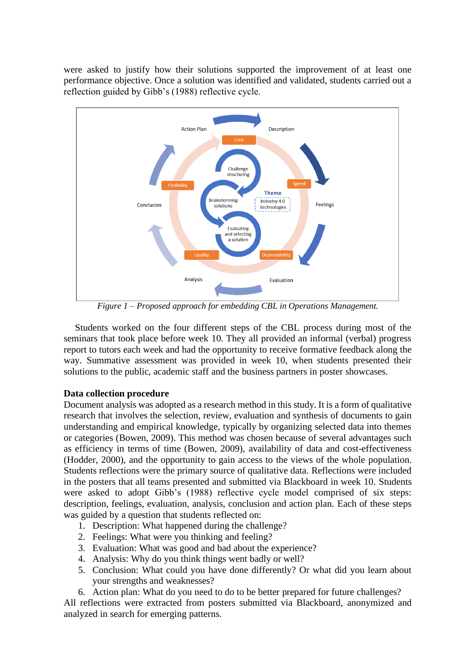were asked to justify how their solutions supported the improvement of at least one performance objective. Once a solution was identified and validated, students carried out a reflection guided by Gibb's (1988) reflective cycle.



*Figure 1 – Proposed approach for embedding CBL in Operations Management.*

Students worked on the four different steps of the CBL process during most of the seminars that took place before week 10. They all provided an informal (verbal) progress report to tutors each week and had the opportunity to receive formative feedback along the way. Summative assessment was provided in week 10, when students presented their solutions to the public, academic staff and the business partners in poster showcases.

# **Data collection procedure**

Document analysis was adopted as a research method in this study. It is a form of qualitative research that involves the selection, review, evaluation and synthesis of documents to gain understanding and empirical knowledge, typically by organizing selected data into themes or categories (Bowen, 2009). This method was chosen because of several advantages such as efficiency in terms of time (Bowen, 2009), availability of data and cost-effectiveness (Hodder, 2000), and the opportunity to gain access to the views of the whole population. Students reflections were the primary source of qualitative data. Reflections were included in the posters that all teams presented and submitted via Blackboard in week 10. Students were asked to adopt Gibb's (1988) reflective cycle model comprised of six steps: description, feelings, evaluation, analysis, conclusion and action plan. Each of these steps was guided by a question that students reflected on:

- 1. Description: What happened during the challenge?
- 2. Feelings: What were you thinking and feeling?
- 3. Evaluation: What was good and bad about the experience?
- 4. Analysis: Why do you think things went badly or well?
- 5. Conclusion: What could you have done differently? Or what did you learn about your strengths and weaknesses?
- 6. Action plan: What do you need to do to be better prepared for future challenges?

All reflections were extracted from posters submitted via Blackboard, anonymized and analyzed in search for emerging patterns.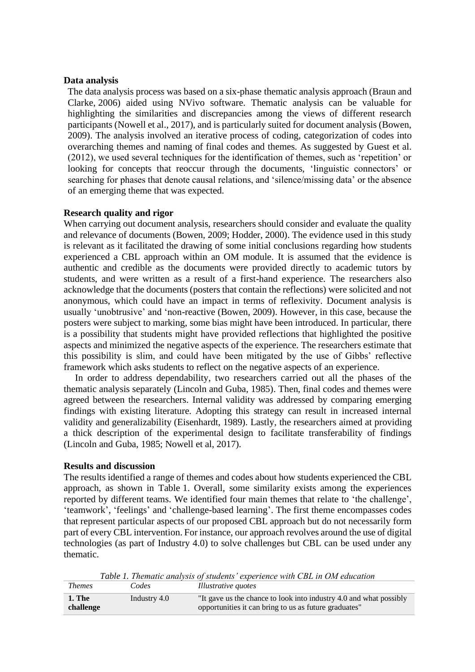#### **Data analysis**

The data analysis process was based on a six-phase thematic analysis approach (Braun and Clarke, 2006) aided using NVivo software. Thematic analysis can be valuable for highlighting the similarities and discrepancies among the views of different research participants (Nowell et al., 2017), and is particularly suited for document analysis (Bowen, 2009). The analysis involved an iterative process of coding, categorization of codes into overarching themes and naming of final codes and themes. As suggested by Guest et al. (2012), we used several techniques for the identification of themes, such as 'repetition' or looking for concepts that reoccur through the documents, 'linguistic connectors' or searching for phases that denote causal relations, and 'silence/missing data' or the absence of an emerging theme that was expected.

## **Research quality and rigor**

When carrying out document analysis, researchers should consider and evaluate the quality and relevance of documents (Bowen, 2009; Hodder, 2000). The evidence used in this study is relevant as it facilitated the drawing of some initial conclusions regarding how students experienced a CBL approach within an OM module. It is assumed that the evidence is authentic and credible as the documents were provided directly to academic tutors by students, and were written as a result of a first-hand experience. The researchers also acknowledge that the documents (posters that contain the reflections) were solicited and not anonymous, which could have an impact in terms of reflexivity. Document analysis is usually 'unobtrusive' and 'non-reactive (Bowen, 2009). However, in this case, because the posters were subject to marking, some bias might have been introduced. In particular, there is a possibility that students might have provided reflections that highlighted the positive aspects and minimized the negative aspects of the experience. The researchers estimate that this possibility is slim, and could have been mitigated by the use of Gibbs' reflective framework which asks students to reflect on the negative aspects of an experience.

In order to address dependability, two researchers carried out all the phases of the thematic analysis separately (Lincoln and Guba, 1985). Then, final codes and themes were agreed between the researchers. Internal validity was addressed by comparing emerging findings with existing literature. Adopting this strategy can result in increased internal validity and generalizability (Eisenhardt, 1989). Lastly, the researchers aimed at providing a thick description of the experimental design to facilitate transferability of findings (Lincoln and Guba, 1985; Nowell et al, 2017).

#### **Results and discussion**

The results identified a range of themes and codes about how students experienced the CBL approach, as shown in Table 1. Overall, some similarity exists among the experiences reported by different teams. We identified four main themes that relate to 'the challenge', 'teamwork', 'feelings' and 'challenge-based learning'. The first theme encompasses codes that represent particular aspects of our proposed CBL approach but do not necessarily form part of every CBL intervention. For instance, our approach revolves around the use of digital technologies (as part of Industry 4.0) to solve challenges but CBL can be used under any thematic.

*Table 1. Thematic analysis of students' experience with CBL in OM education Themes Codes Illustrative quotes*

| I nemes                    | Codes        | Illustrative quotes                                                                                                         |
|----------------------------|--------------|-----------------------------------------------------------------------------------------------------------------------------|
| <b>1. The</b><br>challenge | Industry 4.0 | "It gave us the chance to look into industry 4.0 and what possibly<br>opportunities it can bring to us as future graduates" |
|                            |              |                                                                                                                             |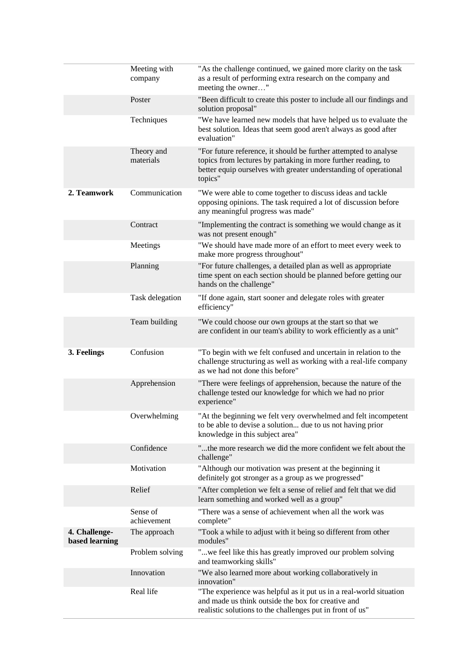|                                 | Meeting with<br>company | "As the challenge continued, we gained more clarity on the task<br>as a result of performing extra research on the company and<br>meeting the owner"                                                             |
|---------------------------------|-------------------------|------------------------------------------------------------------------------------------------------------------------------------------------------------------------------------------------------------------|
|                                 | Poster                  | "Been difficult to create this poster to include all our findings and<br>solution proposal"                                                                                                                      |
|                                 | Techniques              | "We have learned new models that have helped us to evaluate the<br>best solution. Ideas that seem good aren't always as good after<br>evaluation"                                                                |
|                                 | Theory and<br>materials | "For future reference, it should be further attempted to analyse<br>topics from lectures by partaking in more further reading, to<br>better equip ourselves with greater understanding of operational<br>topics" |
| 2. Teamwork                     | Communication           | "We were able to come together to discuss ideas and tackle<br>opposing opinions. The task required a lot of discussion before<br>any meaningful progress was made"                                               |
|                                 | Contract                | "Implementing the contract is something we would change as it<br>was not present enough"                                                                                                                         |
|                                 | Meetings                | "We should have made more of an effort to meet every week to<br>make more progress throughout"                                                                                                                   |
|                                 | Planning                | "For future challenges, a detailed plan as well as appropriate<br>time spent on each section should be planned before getting our<br>hands on the challenge"                                                     |
|                                 | Task delegation         | "If done again, start sooner and delegate roles with greater<br>efficiency"                                                                                                                                      |
|                                 | Team building           | "We could choose our own groups at the start so that we<br>are confident in our team's ability to work efficiently as a unit"                                                                                    |
| 3. Feelings                     | Confusion               | "To begin with we felt confused and uncertain in relation to the<br>challenge structuring as well as working with a real-life company<br>as we had not done this before"                                         |
|                                 | Apprehension            | "There were feelings of apprehension, because the nature of the<br>challenge tested our knowledge for which we had no prior<br>experience"                                                                       |
|                                 | Overwhelming            | "At the beginning we felt very overwhelmed and felt incompetent<br>to be able to devise a solution due to us not having prior<br>knowledge in this subject area"                                                 |
|                                 | Confidence              | "the more research we did the more confident we felt about the<br>challenge"                                                                                                                                     |
|                                 | Motivation              | "Although our motivation was present at the beginning it<br>definitely got stronger as a group as we progressed"                                                                                                 |
|                                 | Relief                  | "After completion we felt a sense of relief and felt that we did<br>learn something and worked well as a group"                                                                                                  |
|                                 | Sense of<br>achievement | "There was a sense of achievement when all the work was<br>complete"                                                                                                                                             |
| 4. Challenge-<br>based learning | The approach            | "Took a while to adjust with it being so different from other<br>modules"                                                                                                                                        |
|                                 | Problem solving         | "we feel like this has greatly improved our problem solving<br>and teamworking skills"                                                                                                                           |
|                                 | Innovation              | "We also learned more about working collaboratively in<br>innovation"                                                                                                                                            |
|                                 | Real life               | "The experience was helpful as it put us in a real-world situation<br>and made us think outside the box for creative and<br>realistic solutions to the challenges put in front of us"                            |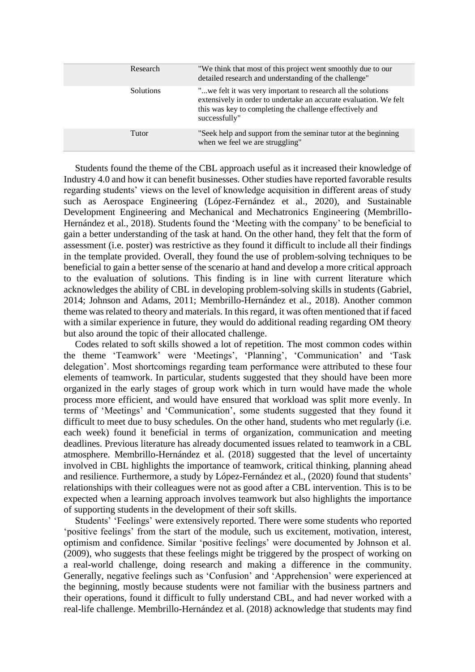| Research         | "We think that most of this project went smoothly due to our<br>detailed research and understanding of the challenge"                                                                                           |
|------------------|-----------------------------------------------------------------------------------------------------------------------------------------------------------------------------------------------------------------|
| <b>Solutions</b> | " we felt it was very important to research all the solutions<br>extensively in order to undertake an accurate evaluation. We felt<br>this was key to completing the challenge effectively and<br>successfully" |
| Tutor            | "Seek help and support from the seminar tutor at the beginning<br>when we feel we are struggling"                                                                                                               |

Students found the theme of the CBL approach useful as it increased their knowledge of Industry 4.0 and how it can benefit businesses. Other studies have reported favorable results regarding students' views on the level of knowledge acquisition in different areas of study such as Aerospace Engineering (López-Fernández et al., 2020), and Sustainable Development Engineering and Mechanical and Mechatronics Engineering (Membrillo-Hernández et al., 2018). Students found the 'Meeting with the company' to be beneficial to gain a better understanding of the task at hand. On the other hand, they felt that the form of assessment (i.e. poster) was restrictive as they found it difficult to include all their findings in the template provided. Overall, they found the use of problem-solving techniques to be beneficial to gain a better sense of the scenario at hand and develop a more critical approach to the evaluation of solutions. This finding is in line with current literature which acknowledges the ability of CBL in developing problem-solving skills in students (Gabriel, 2014; Johnson and Adams, 2011; Membrillo-Hernández et al., 2018). Another common theme was related to theory and materials. In this regard, it was often mentioned that if faced with a similar experience in future, they would do additional reading regarding OM theory but also around the topic of their allocated challenge.

Codes related to soft skills showed a lot of repetition. The most common codes within the theme 'Teamwork' were 'Meetings', 'Planning', 'Communication' and 'Task delegation'. Most shortcomings regarding team performance were attributed to these four elements of teamwork. In particular, students suggested that they should have been more organized in the early stages of group work which in turn would have made the whole process more efficient, and would have ensured that workload was split more evenly. In terms of 'Meetings' and 'Communication', some students suggested that they found it difficult to meet due to busy schedules. On the other hand, students who met regularly (i.e. each week) found it beneficial in terms of organization, communication and meeting deadlines. Previous literature has already documented issues related to teamwork in a CBL atmosphere. Membrillo-Hernández et al. (2018) suggested that the level of uncertainty involved in CBL highlights the importance of teamwork, critical thinking, planning ahead and resilience. Furthermore, a study by López-Fernández et al., (2020) found that students' relationships with their colleagues were not as good after a CBL intervention. This is to be expected when a learning approach involves teamwork but also highlights the importance of supporting students in the development of their soft skills.

Students' 'Feelings' were extensively reported. There were some students who reported 'positive feelings' from the start of the module, such us excitement, motivation, interest, optimism and confidence. Similar 'positive feelings' were documented by Johnson et al. (2009), who suggests that these feelings might be triggered by the prospect of working on a real-world challenge, doing research and making a difference in the community. Generally, negative feelings such as 'Confusion' and 'Apprehension' were experienced at the beginning, mostly because students were not familiar with the business partners and their operations, found it difficult to fully understand CBL, and had never worked with a real-life challenge. Membrillo-Hernández et al. (2018) acknowledge that students may find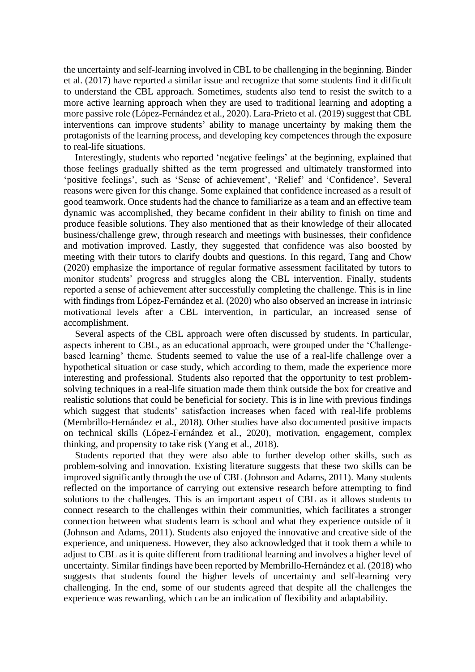the uncertainty and self-learning involved in CBL to be challenging in the beginning. Binder et al. (2017) have reported a similar issue and recognize that some students find it difficult to understand the CBL approach. Sometimes, students also tend to resist the switch to a more active learning approach when they are used to traditional learning and adopting a more passive role (López-Fernández et al., 2020). Lara-Prieto et al. (2019) suggest that CBL interventions can improve students' ability to manage uncertainty by making them the protagonists of the learning process, and developing key competences through the exposure to real-life situations.

Interestingly, students who reported 'negative feelings' at the beginning, explained that those feelings gradually shifted as the term progressed and ultimately transformed into 'positive feelings', such as 'Sense of achievement', 'Relief' and 'Confidence'. Several reasons were given for this change. Some explained that confidence increased as a result of good teamwork. Once students had the chance to familiarize as a team and an effective team dynamic was accomplished, they became confident in their ability to finish on time and produce feasible solutions. They also mentioned that as their knowledge of their allocated business/challenge grew, through research and meetings with businesses, their confidence and motivation improved. Lastly, they suggested that confidence was also boosted by meeting with their tutors to clarify doubts and questions. In this regard, Tang and Chow (2020) emphasize the importance of regular formative assessment facilitated by tutors to monitor students' progress and struggles along the CBL intervention. Finally, students reported a sense of achievement after successfully completing the challenge. This is in line with findings from López-Fernández et al. (2020) who also observed an increase in intrinsic motivational levels after a CBL intervention, in particular, an increased sense of accomplishment.

Several aspects of the CBL approach were often discussed by students. In particular, aspects inherent to CBL, as an educational approach, were grouped under the 'Challengebased learning' theme. Students seemed to value the use of a real-life challenge over a hypothetical situation or case study, which according to them, made the experience more interesting and professional. Students also reported that the opportunity to test problemsolving techniques in a real-life situation made them think outside the box for creative and realistic solutions that could be beneficial for society. This is in line with previous findings which suggest that students' satisfaction increases when faced with real-life problems (Membrillo-Hernández et al., 2018). Other studies have also documented positive impacts on technical skills (López-Fernández et al., 2020), motivation, engagement, complex thinking, and propensity to take risk (Yang et al., 2018).

Students reported that they were also able to further develop other skills, such as problem-solving and innovation. Existing literature suggests that these two skills can be improved significantly through the use of CBL (Johnson and Adams, 2011). Many students reflected on the importance of carrying out extensive research before attempting to find solutions to the challenges. This is an important aspect of CBL as it allows students to connect research to the challenges within their communities, which facilitates a stronger connection between what students learn is school and what they experience outside of it (Johnson and Adams, 2011). Students also enjoyed the innovative and creative side of the experience, and uniqueness. However, they also acknowledged that it took them a while to adjust to CBL as it is quite different from traditional learning and involves a higher level of uncertainty. Similar findings have been reported by Membrillo-Hernández et al. (2018) who suggests that students found the higher levels of uncertainty and self-learning very challenging. In the end, some of our students agreed that despite all the challenges the experience was rewarding, which can be an indication of flexibility and adaptability.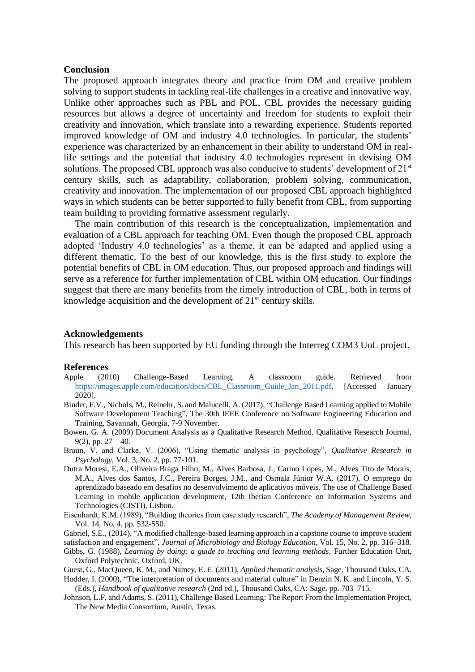#### **Conclusion**

The proposed approach integrates theory and practice from OM and creative problem solving to support students in tackling real-life challenges in a creative and innovative way. Unlike other approaches such as PBL and POL, CBL provides the necessary guiding resources but allows a degree of uncertainty and freedom for students to exploit their creativity and innovation, which translate into a rewarding experience. Students reported improved knowledge of OM and industry 4.0 technologies. In particular, the students' experience was characterized by an enhancement in their ability to understand OM in reallife settings and the potential that industry 4.0 technologies represent in devising OM solutions. The proposed CBL approach was also conducive to students' development of 21<sup>st</sup> century skills, such as adaptability, collaboration, problem solving, communication, creativity and innovation. The implementation of our proposed CBL approach highlighted ways in which students can be better supported to fully benefit from CBL, from supporting team building to providing formative assessment regularly.

The main contribution of this research is the conceptualization, implementation and evaluation of a CBL approach for teaching OM. Even though the proposed CBL approach adopted 'Industry 4.0 technologies' as a theme, it can be adapted and applied using a different thematic. To the best of our knowledge, this is the first study to explore the potential benefits of CBL in OM education. Thus, our proposed approach and findings will serve as a reference for further implementation of CBL within OM education. Our findings suggest that there are many benefits from the timely introduction of CBL, both in terms of knowledge acquisition and the development of 21<sup>st</sup> century skills.

#### **Acknowledgements**

This research has been supported by EU funding through the Interreg COM3 UoL project.

#### **References**

- Apple (2010) Challenge-Based Learning. A classroom guide. Retrieved from [https://images.apple.com/education/docs/CBL\\_Classroom\\_Guide\\_Jan\\_2011.pdf.](https://images.apple.com/education/docs/CBL_Classroom_Guide_Jan_2011.pdf) [Accessed January 2020].
- Binder, F.V., Nichols, M., Reinehr, S. and Malucelli, A. (2017), "Challenge Based Learning applied to Mobile Software Development Teaching", The 30th IEEE Conference on Software Engineering Education and Training, Savannah, Georgia, 7-9 November.
- Bowen, G. A. (2009) Document Analysis as a Qualitative Research Method. Qualitative Research Journal,  $9(2)$ , pp.  $27 - 40$ .
- Braun, V. and Clarke, V. (2006), "Using thematic analysis in psychology", *Qualitative Research in Psychology*, Vol. 3, No. 2, pp. 77-101.
- Dutra Moresi, E.A., Oliveira Braga Filho, M., Alves Barbosa, J., Carmo Lopes, M., Alves Tito de Morais, M.A., Alves dos Santos, J.C., Pereira Borges, J.M., and Osmala Júnior W.A. (2017), O emprego do aprendizado baseado em desafios no desenvolvimento de aplicativos móveis. The use of Challenge Based Learning in mobile application development, 12th Iberian Conference on Information Systems and Technologies (CISTI), Lisbon.
- Eisenhardt, K.M. (1989), "Building theories from case study research", *The Academy of Management Review*, Vol. 14, No. 4, pp. 532-550.

Gabriel, S.E., (2014), "A modified challenge-based learning approach in a capstone course to improve student satisfaction and engagement", *Journal of Microbiology and Biology Education*, Vol. 15, No. 2, pp. 316–318. Gibbs, G. (1988), *Learning by doing: a guide to teaching and learning methods*, Further Education Unit,

Oxford Polytechnic, Oxford, UK.

- Guest, G., MacQueen, K. M., and Namey, E. E. (2011), *Applied thematic analysis*, Sage, Thousand Oaks, CA. Hodder, I. (2000), "The interpretation of documents and material culture" in Denzin N. K. and Lincoln, Y. S. (Eds.), *Handbook of qualitative research* (2nd ed.), Thousand Oaks, CA: Sage, pp. 703–715.
- Johnson, L.F. and Adams, S. (2011), Challenge Based Learning: The Report From the Implementation Project, The New Media Consortium, Austin, Texas.